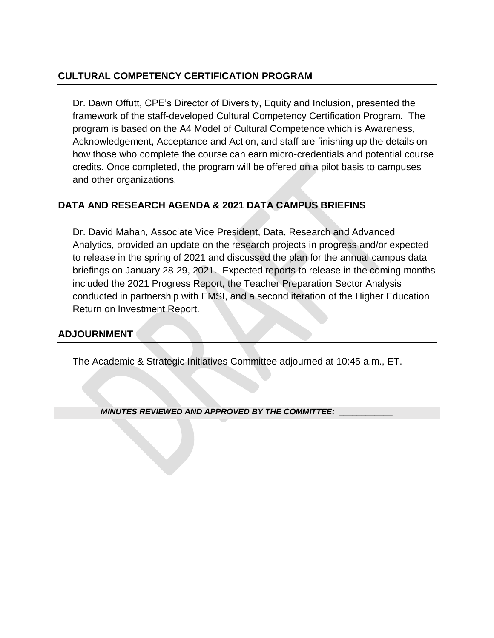#### **CULTURAL COMPETENCY CERTIFICATION PROGRAM**

Dr. Dawn Offutt, CPE's Director of Diversity, Equity and Inclusion, presented the framework of the staff-developed Cultural Competency Certification Program. The program is based on the A4 Model of Cultural Competence which is Awareness, Acknowledgement, Acceptance and Action, and staff are finishing up the details on how those who complete the course can earn micro-credentials and potential course credits. Once completed, the program will be offered on a pilot basis to campuses and other organizations.

#### **DATA AND RESEARCH AGENDA & 2021 DATA CAMPUS BRIEFINS**

Dr. David Mahan, Associate Vice President, Data, Research and Advanced Analytics, provided an update on the research projects in progress and/or expected to release in the spring of 2021 and discussed the plan for the annual campus data briefings on January 28-29, 2021. Expected reports to release in the coming months included the 2021 Progress Report, the Teacher Preparation Sector Analysis conducted in partnership with EMSI, and a second iteration of the Higher Education Return on Investment Report.

#### **ADJOURNMENT**

The Academic & Strategic Initiatives Committee adjourned at 10:45 a.m., ET.

*MINUTES REVIEWED AND APPROVED BY THE COMMITTEE: \_\_\_\_\_\_\_\_\_\_\_\_*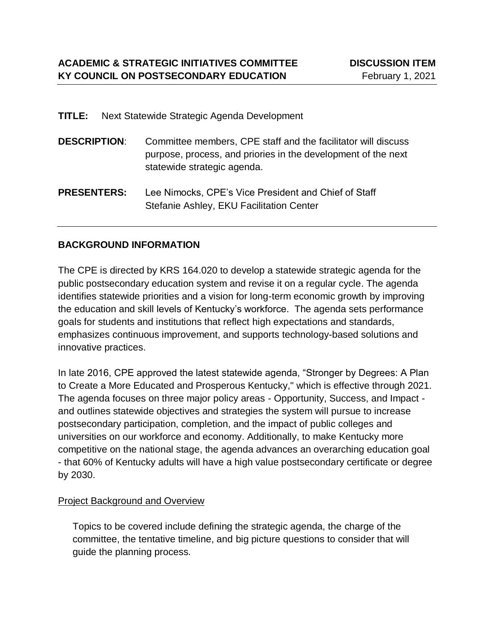| TITLE:              | Next Statewide Strategic Agenda Development                                                                                                                   |
|---------------------|---------------------------------------------------------------------------------------------------------------------------------------------------------------|
| <b>DESCRIPTION:</b> | Committee members, CPE staff and the facilitator will discuss<br>purpose, process, and priories in the development of the next<br>statewide strategic agenda. |
| <b>PRESENTERS:</b>  | Lee Nimocks, CPE's Vice President and Chief of Staff<br>Stefanie Ashley, EKU Facilitation Center                                                              |

#### **BACKGROUND INFORMATION**

The CPE is directed by KRS 164.020 to develop a statewide strategic agenda for the public postsecondary education system and revise it on a regular cycle. The agenda identifies statewide priorities and a vision for long-term economic growth by improving the education and skill levels of Kentucky's workforce. The agenda sets performance goals for students and institutions that reflect high expectations and standards, emphasizes continuous improvement, and supports technology-based solutions and innovative practices.

In late 2016, CPE approved the latest statewide agenda, "Stronger by Degrees: A Plan to Create a More Educated and Prosperous Kentucky," which is effective through 2021. The agenda focuses on three major policy areas - Opportunity, Success, and Impact and outlines statewide objectives and strategies the system will pursue to increase postsecondary participation, completion, and the impact of public colleges and universities on our workforce and economy. Additionally, to make Kentucky more competitive on the national stage, the agenda advances an overarching education goal - that 60% of Kentucky adults will have a high value postsecondary certificate or degree by 2030.

#### Project Background and Overview

Topics to be covered include defining the strategic agenda, the charge of the committee, the tentative timeline, and big picture questions to consider that will guide the planning process.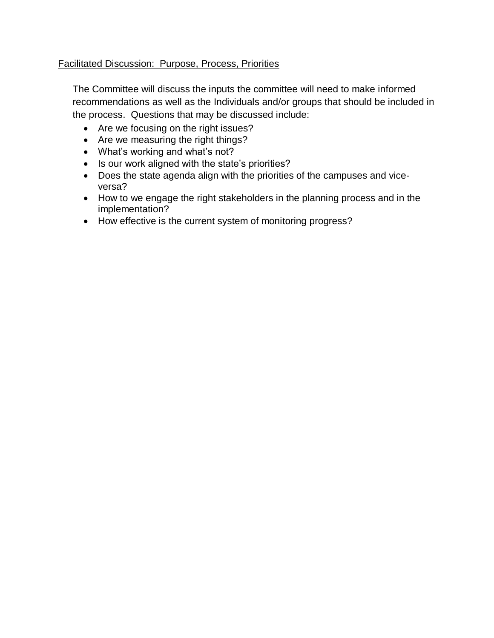#### Facilitated Discussion: Purpose, Process, Priorities

The Committee will discuss the inputs the committee will need to make informed recommendations as well as the Individuals and/or groups that should be included in the process. Questions that may be discussed include:

- Are we focusing on the right issues?
- Are we measuring the right things?
- What's working and what's not?
- Is our work aligned with the state's priorities?
- Does the state agenda align with the priorities of the campuses and viceversa?
- How to we engage the right stakeholders in the planning process and in the implementation?
- How effective is the current system of monitoring progress?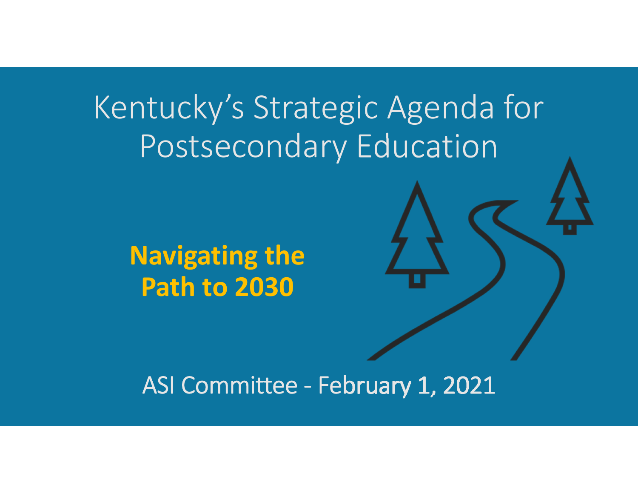# Kentucky's Strategic Agenda for Postsecondary Education

**Navigating the Path to 2030**

## ASI Committee ‐ February 1, 2021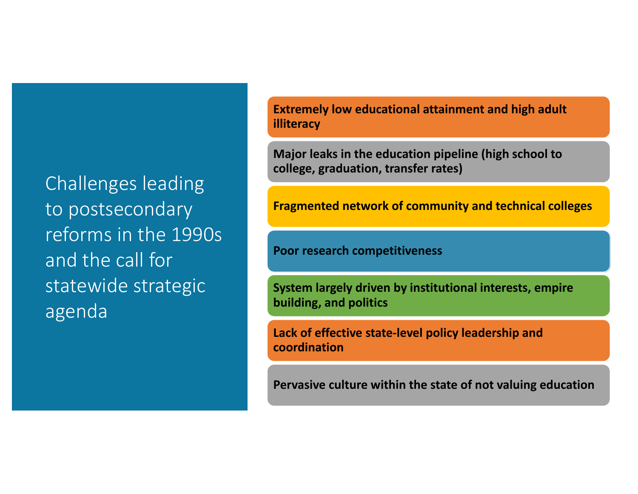to postsecondary<br>Canadary Chall form<br>III (IIE 1990) and ene can rer<br>statewide strategic Challenges leading reforms in the 1990s and the call for agenda

**Extremely low educational attainment and high adult illiteracy**

**Major leaks in the education pipeline (high school to college, graduation, transfer rates)**

**Fragmented network of community and technical colleges**

**Poor research competitiveness**

**System largely driven by institutional interests, empire building, and politics**

**Lack of effective state‐level policy leadership and coordination**

**Pervasive culture within the state of not valuing education**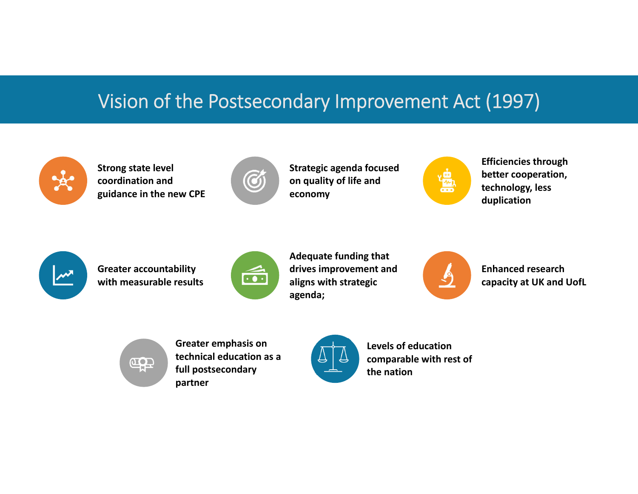# Vision of the Postsecondary Improvement Act (1997)



**Strong state level coordination and guidance in the new CPE**



**Strategic agenda focused on quality of life and economy**



**Efficiencies through better cooperation, technology, less duplication**



**Greater accountability with measurable results**



**Adequate funding that drives improvement and aligns with strategic agenda;**



**Enhanced research capacity at UK and UofL**



**Greater emphasis on technical education as a full postsecondary partner**



**Levels of educationcomparable with rest of the nation**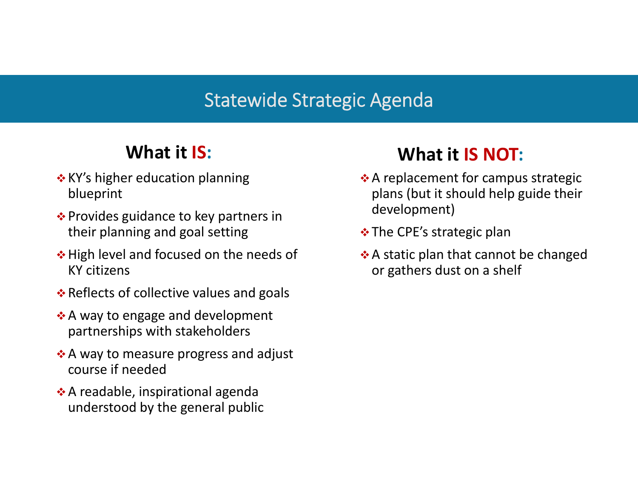#### Statewide Strategic Agenda

### **What it IS:**

- $\boldsymbol{\dot{*}}$  KY's higher education planning blueprint
- $\clubsuit$  Provides guidance to key partners in their planning and goal setting
- $\div$  **High level and focused on the needs of** KY citizens
- $\clubsuit$  Reflects of collective values and goals
- ❖ A way to engage and development partnerships with stakeholders
- $\boldsymbol{\cdot}$  A way to measure progress and adjust course if needed
- $\boldsymbol{\cdot}$  A readable, inspirational agenda understood by the general public

### **What it IS NOT:**

- $\clubsuit$  A replacement for campus strategic plans (but it should help guide their development)
- $\boldsymbol{\dot{*}}$  The CPE's strategic plan
- $\clubsuit$  A static plan that cannot be changed or gathers dust on <sup>a</sup> shelf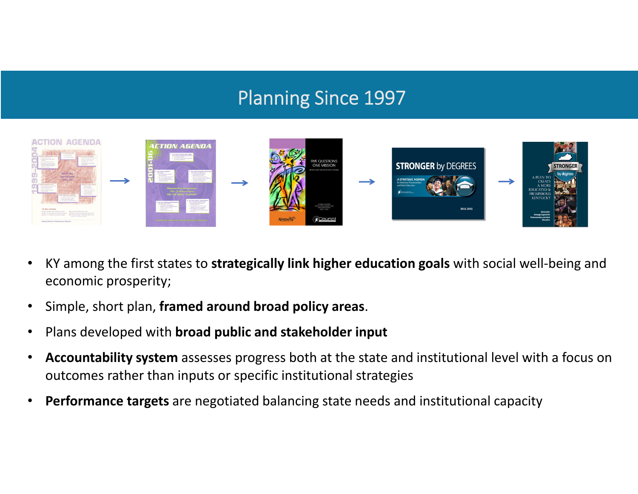### Planning Since 1997



- • KY among the first states to **strategically link higher education goals** with social well‐being and economic prosperity;
- $\bullet$ Simple, short plan, **framed around broad policy areas**.
- $\bullet$ Plans developed with **broad public and stakeholder input**
- • **Accountability system** assesses progress both at the state and institutional level with <sup>a</sup> focus on outcomes rather than inputs or specific institutional strategies
- $\bullet$ **Performance targets** are negotiated balancing state needs and institutional capacity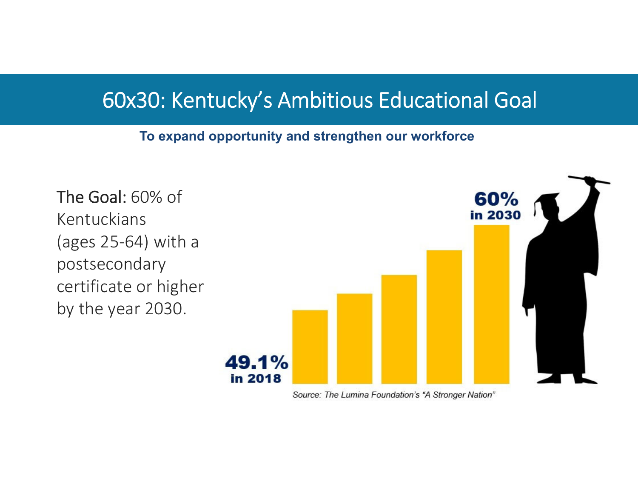### 60x30: Kentucky's Ambitious Educational Goal

#### **To expand opportunity and strengthen our workforce**



Source: The Lumina Foundation's "A Stronger Nation"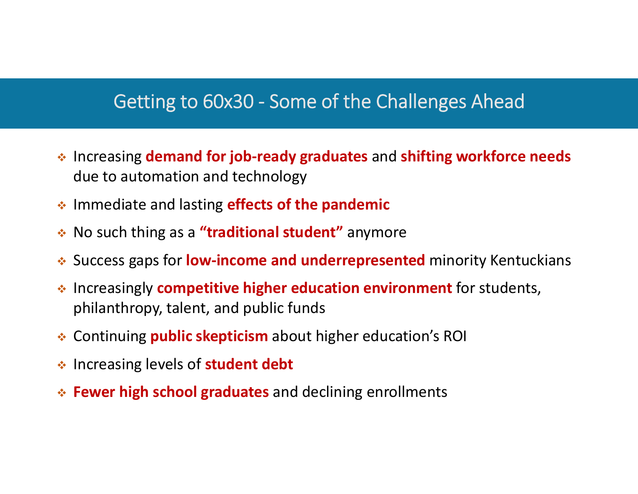#### Getting to 60x30 ‐ Some of the Challenges Ahead

- Increasing **demand for job‐ready graduates** and **shifting workforce needs** due to automation and technology
- Immediate and lasting **effects of the pandemic**
- No such thing as <sup>a</sup> **"traditional student"** anymore
- Success gaps for **low‐income and underrepresented** minority Kentuckians
- Increasingly **competitive higher education environment** for students, philanthropy, talent, and public funds
- Continuing **public skepticism** about higher education's ROI
- Increasing levels of **student debt**
- **Fewer high school graduates** and declining enrollments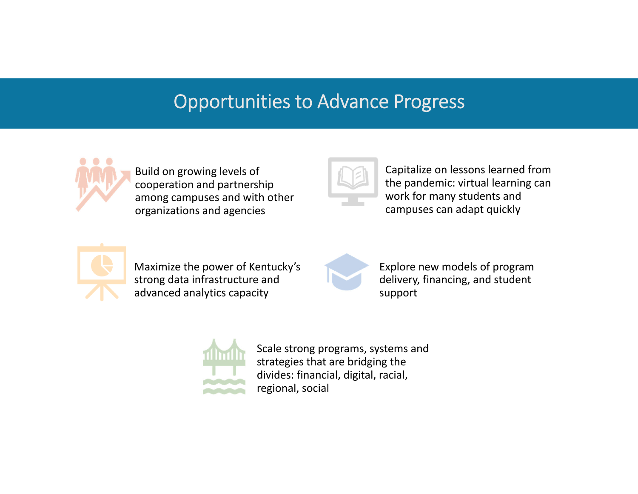#### Opportunities to Advance Progress



Build on growing levels of cooperation and partnership among campuses and with other organizations and agencies



Capitalize on lessons learned from the pandemic: virtual learning can work for many students and campuses can adapt quickly



Maximize the power of Kentucky's strong data infrastructure and advanced analytics capacity



Explore new models of program delivery, financing, and student support



Scale strong programs, systems and strategies that are bridging the divides: financial, digital, racial, regional, social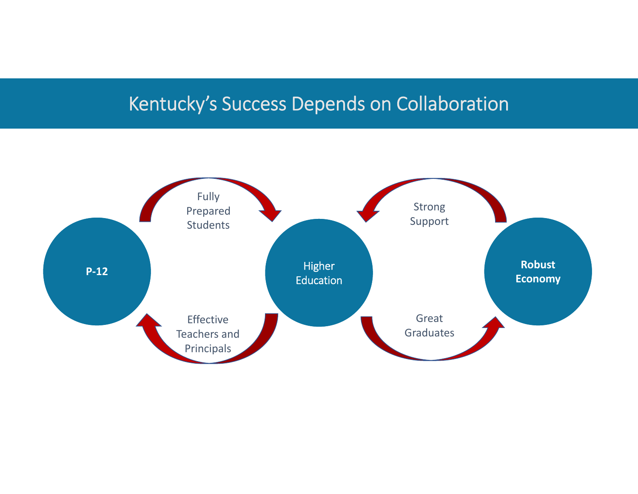### Kentucky's Success Depends on Collaboration

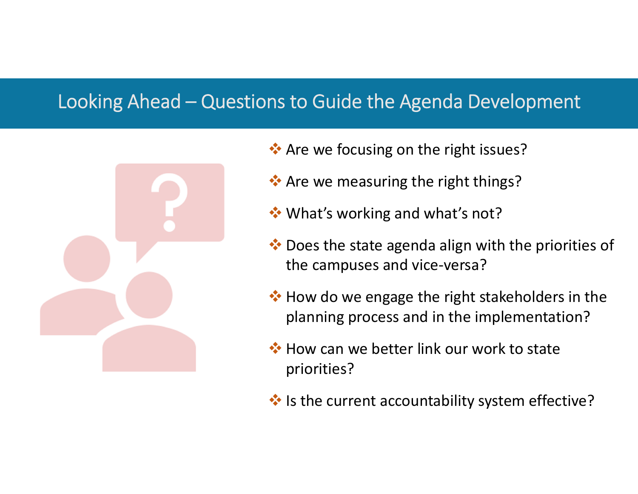#### Looking Ahead – Questions to Guide the Agenda Development



- \* Are we focusing on the right issues?
- \* Are we measuring the right things?
- **◆ What's working and what's not?**
- ◆ Does the state agenda align with the priorities of the campuses and vice‐versa?
- ◆ How do we engage the right stakeholders in the planning process and in the implementation?
- **◆ How can we better link our work to state** priorities?
- ◆ Is the current accountability system effective?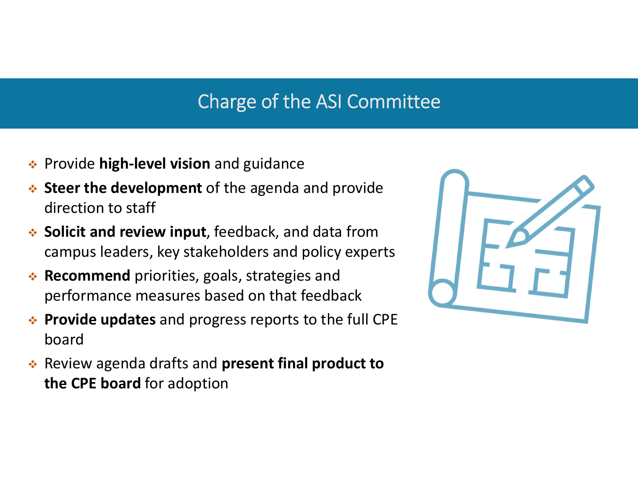### Charge of the ASI Committee

- Provide **high‐level vision** and guidance
- **Steer the development** of the agenda and provide direction to staff
- **Solicit and review input**, feedback, and data from campus leaders, key stakeholders and policy experts
- **Recommend** priorities, goals, strategies and performance measures based on that feedback
- **Provide updates** and progress reports to the full CPE board
- Review agenda drafts and **present final product to the CPE board** for adoption